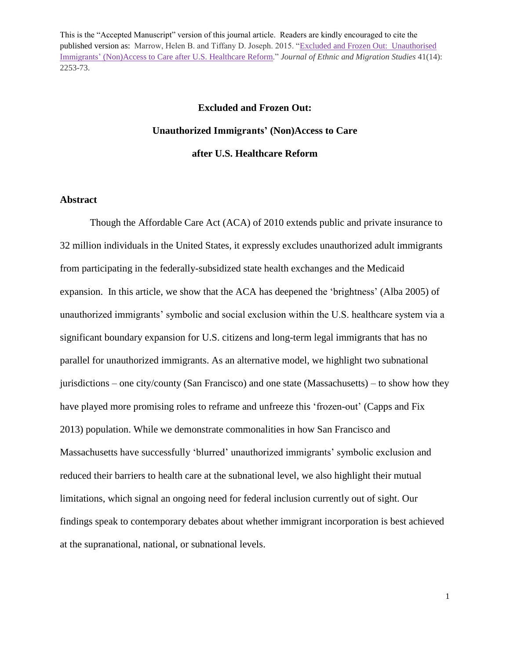# **Excluded and Frozen Out: Unauthorized Immigrants' (Non)Access to Care after U.S. Healthcare Reform**

#### **Abstract**

Though the Affordable Care Act (ACA) of 2010 extends public and private insurance to 32 million individuals in the United States, it expressly excludes unauthorized adult immigrants from participating in the federally-subsidized state health exchanges and the Medicaid expansion. In this article, we show that the ACA has deepened the 'brightness' (Alba 2005) of unauthorized immigrants' symbolic and social exclusion within the U.S. healthcare system via a significant boundary expansion for U.S. citizens and long-term legal immigrants that has no parallel for unauthorized immigrants. As an alternative model, we highlight two subnational jurisdictions – one city/county (San Francisco) and one state (Massachusetts) – to show how they have played more promising roles to reframe and unfreeze this 'frozen-out' (Capps and Fix 2013) population. While we demonstrate commonalities in how San Francisco and Massachusetts have successfully 'blurred' unauthorized immigrants' symbolic exclusion and reduced their barriers to health care at the subnational level, we also highlight their mutual limitations, which signal an ongoing need for federal inclusion currently out of sight. Our findings speak to contemporary debates about whether immigrant incorporation is best achieved at the supranational, national, or subnational levels.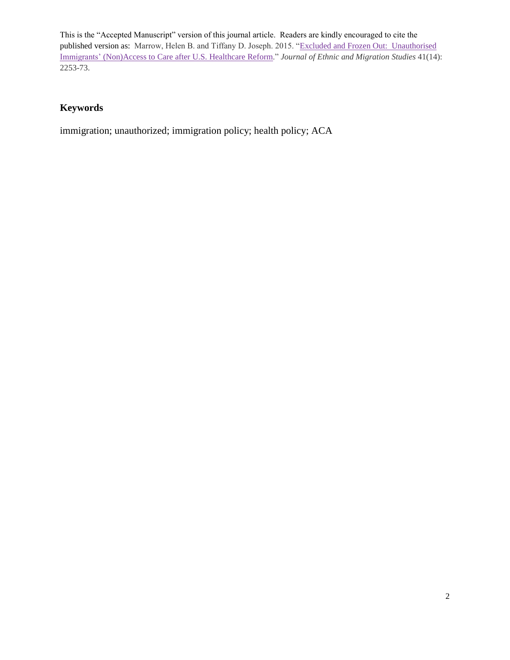### **Keywords**

immigration; unauthorized; immigration policy; health policy; ACA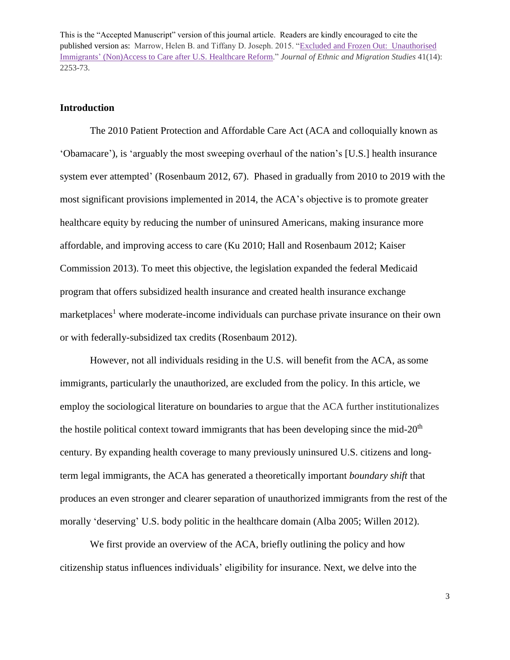#### **Introduction**

The 2010 Patient Protection and Affordable Care Act (ACA and colloquially known as 'Obamacare'), is 'arguably the most sweeping overhaul of the nation's [U.S.] health insurance system ever attempted' (Rosenbaum 2012, 67). Phased in gradually from 2010 to 2019 with the most significant provisions implemented in 2014, the ACA's objective is to promote greater healthcare equity by reducing the number of uninsured Americans, making insurance more affordable, and improving access to care (Ku 2010; Hall and Rosenbaum 2012; Kaiser Commission 2013). To meet this objective, the legislation expanded the federal Medicaid program that offers subsidized health insurance and created health insurance exchange  $marketplaces<sup>1</sup>$  where moderate-income individuals can purchase private insurance on their own or with federally-subsidized tax credits (Rosenbaum 2012).

However, not all individuals residing in the U.S. will benefit from the ACA, assome immigrants, particularly the unauthorized, are excluded from the policy. In this article, we employ the sociological literature on boundaries to argue that the ACA further institutionalizes the hostile political context toward immigrants that has been developing since the mid- $20<sup>th</sup>$ century. By expanding health coverage to many previously uninsured U.S. citizens and longterm legal immigrants, the ACA has generated a theoretically important *boundary shift* that produces an even stronger and clearer separation of unauthorized immigrants from the rest of the morally 'deserving' U.S. body politic in the healthcare domain (Alba 2005; Willen 2012).

We first provide an overview of the ACA, briefly outlining the policy and how citizenship status influences individuals' eligibility for insurance. Next, we delve into the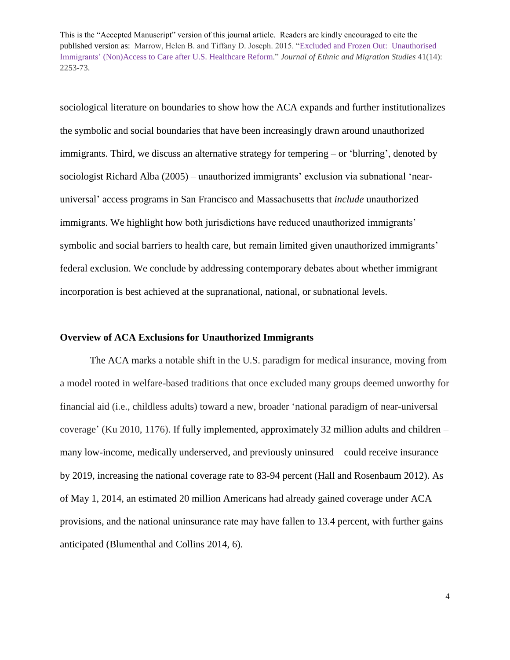sociological literature on boundaries to show how the ACA expands and further institutionalizes the symbolic and social boundaries that have been increasingly drawn around unauthorized immigrants. Third, we discuss an alternative strategy for tempering – or 'blurring', denoted by sociologist Richard Alba (2005) – unauthorized immigrants' exclusion via subnational 'nearuniversal' access programs in San Francisco and Massachusetts that *include* unauthorized immigrants. We highlight how both jurisdictions have reduced unauthorized immigrants' symbolic and social barriers to health care, but remain limited given unauthorized immigrants' federal exclusion. We conclude by addressing contemporary debates about whether immigrant incorporation is best achieved at the supranational, national, or subnational levels.

#### **Overview of ACA Exclusions for Unauthorized Immigrants**

The ACA marks a notable shift in the U.S. paradigm for medical insurance, moving from a model rooted in welfare-based traditions that once excluded many groups deemed unworthy for financial aid (i.e., childless adults) toward a new, broader 'national paradigm of near-universal coverage' (Ku 2010, 1176). If fully implemented, approximately 32 million adults and children – many low-income, medically underserved, and previously uninsured – could receive insurance by 2019, increasing the national coverage rate to 83-94 percent (Hall and Rosenbaum 2012). As of May 1, 2014, an estimated 20 million Americans had already gained coverage under ACA provisions, and the national uninsurance rate may have fallen to 13.4 percent, with further gains anticipated (Blumenthal and Collins 2014, 6).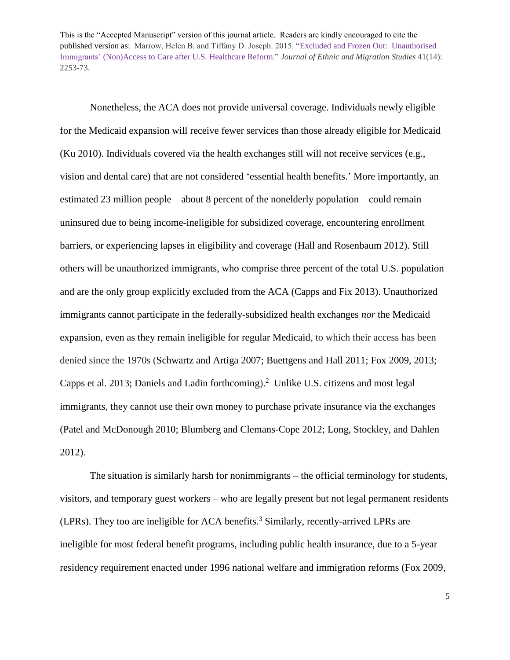Nonetheless, the ACA does not provide universal coverage. Individuals newly eligible for the Medicaid expansion will receive fewer services than those already eligible for Medicaid (Ku 2010). Individuals covered via the health exchanges still will not receive services (e.g., vision and dental care) that are not considered 'essential health benefits.' More importantly, an estimated 23 million people – about 8 percent of the nonelderly population – could remain uninsured due to being income-ineligible for subsidized coverage, encountering enrollment barriers, or experiencing lapses in eligibility and coverage (Hall and Rosenbaum 2012). Still others will be unauthorized immigrants, who comprise three percent of the total U.S. population and are the only group explicitly excluded from the ACA (Capps and Fix 2013). Unauthorized immigrants cannot participate in the federally-subsidized health exchanges *nor* the Medicaid expansion, even as they remain ineligible for regular Medicaid, to which their access has been denied since the 1970s (Schwartz and Artiga 2007; Buettgens and Hall 2011; Fox 2009, 2013; Capps et al. 2013; Daniels and Ladin forthcoming). <sup>2</sup> Unlike U.S. citizens and most legal immigrants, they cannot use their own money to purchase private insurance via the exchanges (Patel and McDonough 2010; Blumberg and Clemans-Cope 2012; Long, Stockley, and Dahlen 2012).

The situation is similarly harsh for nonimmigrants – the official terminology for students, visitors, and temporary guest workers – who are legally present but not legal permanent residents (LPRs). They too are ineligible for ACA benefits.<sup>3</sup> Similarly, recently-arrived LPRs are ineligible for most federal benefit programs, including public health insurance, due to a 5-year residency requirement enacted under 1996 national welfare and immigration reforms (Fox 2009,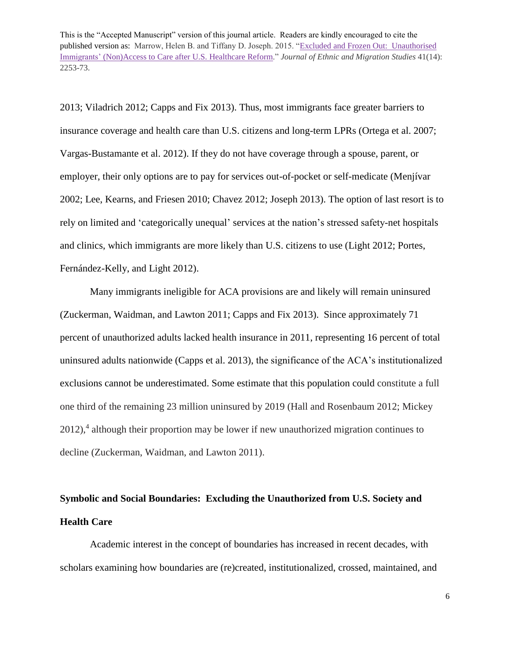2013; Viladrich 2012; Capps and Fix 2013). Thus, most immigrants face greater barriers to insurance coverage and health care than U.S. citizens and long-term LPRs (Ortega et al. 2007; Vargas-Bustamante et al. 2012). If they do not have coverage through a spouse, parent, or employer, their only options are to pay for services out-of-pocket or self-medicate (Menjívar 2002; Lee, Kearns, and Friesen 2010; Chavez 2012; Joseph 2013). The option of last resort is to rely on limited and 'categorically unequal' services at the nation's stressed safety-net hospitals and clinics, which immigrants are more likely than U.S. citizens to use (Light 2012; Portes, Fernández-Kelly, and Light 2012).

Many immigrants ineligible for ACA provisions are and likely will remain uninsured (Zuckerman, Waidman, and Lawton 2011; Capps and Fix 2013). Since approximately 71 percent of unauthorized adults lacked health insurance in 2011, representing 16 percent of total uninsured adults nationwide (Capps et al. 2013), the significance of the ACA's institutionalized exclusions cannot be underestimated. Some estimate that this population could constitute a full one third of the remaining 23 million uninsured by 2019 (Hall and Rosenbaum 2012; Mickey 2012),<sup>4</sup> although their proportion may be lower if new unauthorized migration continues to decline (Zuckerman, Waidman, and Lawton 2011).

## **Symbolic and Social Boundaries: Excluding the Unauthorized from U.S. Society and Health Care**

Academic interest in the concept of boundaries has increased in recent decades, with scholars examining how boundaries are (re)created, institutionalized, crossed, maintained, and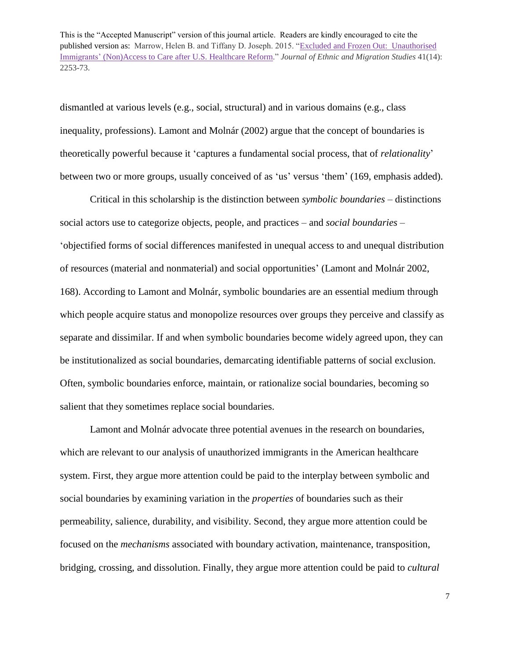dismantled at various levels (e.g., social, structural) and in various domains (e.g., class inequality, professions). Lamont and Molnár (2002) argue that the concept of boundaries is theoretically powerful because it 'captures a fundamental social process, that of *relationality*' between two or more groups, usually conceived of as 'us' versus 'them' (169, emphasis added).

Critical in this scholarship is the distinction between *symbolic boundaries* – distinctions social actors use to categorize objects, people, and practices – and *social boundaries* – 'objectified forms of social differences manifested in unequal access to and unequal distribution of resources (material and nonmaterial) and social opportunities' (Lamont and Molnár 2002, 168). According to Lamont and Molnár, symbolic boundaries are an essential medium through which people acquire status and monopolize resources over groups they perceive and classify as separate and dissimilar. If and when symbolic boundaries become widely agreed upon, they can be institutionalized as social boundaries, demarcating identifiable patterns of social exclusion. Often, symbolic boundaries enforce, maintain, or rationalize social boundaries, becoming so salient that they sometimes replace social boundaries.

Lamont and Molnár advocate three potential avenues in the research on boundaries, which are relevant to our analysis of unauthorized immigrants in the American healthcare system. First, they argue more attention could be paid to the interplay between symbolic and social boundaries by examining variation in the *properties* of boundaries such as their permeability, salience, durability, and visibility. Second, they argue more attention could be focused on the *mechanisms* associated with boundary activation, maintenance, transposition, bridging, crossing, and dissolution. Finally, they argue more attention could be paid to *cultural*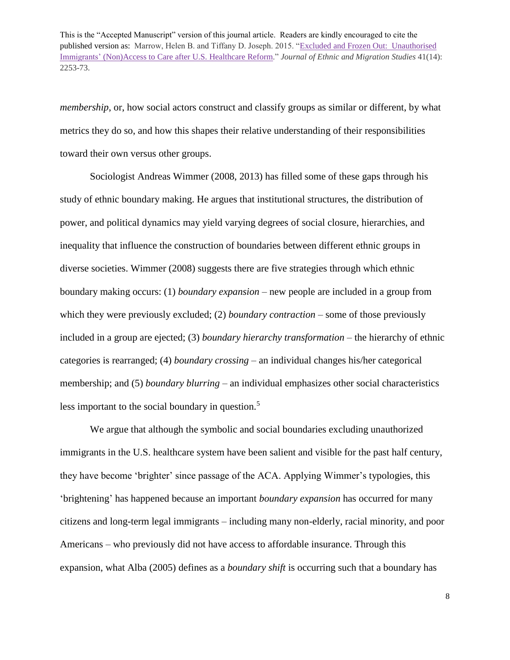*membership*, or, how social actors construct and classify groups as similar or different, by what metrics they do so, and how this shapes their relative understanding of their responsibilities toward their own versus other groups.

Sociologist Andreas Wimmer (2008, 2013) has filled some of these gaps through his study of ethnic boundary making. He argues that institutional structures, the distribution of power, and political dynamics may yield varying degrees of social closure, hierarchies, and inequality that influence the construction of boundaries between different ethnic groups in diverse societies. Wimmer (2008) suggests there are five strategies through which ethnic boundary making occurs: (1) *boundary expansion* – new people are included in a group from which they were previously excluded; (2) *boundary contraction* – some of those previously included in a group are ejected; (3) *boundary hierarchy transformation* – the hierarchy of ethnic categories is rearranged; (4) *boundary crossing* – an individual changes his/her categorical membership; and (5) *boundary blurring* – an individual emphasizes other social characteristics less important to the social boundary in question.<sup>5</sup>

We argue that although the symbolic and social boundaries excluding unauthorized immigrants in the U.S. healthcare system have been salient and visible for the past half century, they have become 'brighter' since passage of the ACA. Applying Wimmer's typologies, this 'brightening' has happened because an important *boundary expansion* has occurred for many citizens and long-term legal immigrants – including many non-elderly, racial minority, and poor Americans – who previously did not have access to affordable insurance. Through this expansion, what Alba (2005) defines as a *boundary shift* is occurring such that a boundary has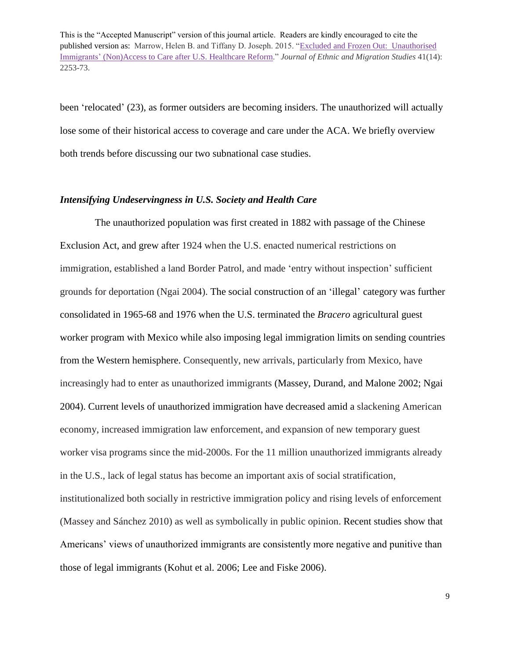been 'relocated' (23), as former outsiders are becoming insiders. The unauthorized will actually lose some of their historical access to coverage and care under the ACA. We briefly overview both trends before discussing our two subnational case studies.

#### *Intensifying Undeservingness in U.S. Society and Health Care*

 The unauthorized population was first created in 1882 with passage of the Chinese Exclusion Act, and grew after 1924 when the U.S. enacted numerical restrictions on immigration, established a land Border Patrol, and made 'entry without inspection' sufficient grounds for deportation (Ngai 2004). The social construction of an 'illegal' category was further consolidated in 1965-68 and 1976 when the U.S. terminated the *Bracero* agricultural guest worker program with Mexico while also imposing legal immigration limits on sending countries from the Western hemisphere. Consequently, new arrivals, particularly from Mexico, have increasingly had to enter as unauthorized immigrants (Massey, Durand, and Malone 2002; Ngai 2004). Current levels of unauthorized immigration have decreased amid a slackening American economy, increased immigration law enforcement, and expansion of new temporary guest worker visa programs since the mid-2000s. For the 11 million unauthorized immigrants already in the U.S., lack of legal status has become an important axis of social stratification, institutionalized both socially in restrictive immigration policy and rising levels of enforcement (Massey and Sánchez 2010) as well as symbolically in public opinion. Recent studies show that Americans' views of unauthorized immigrants are consistently more negative and punitive than those of legal immigrants (Kohut et al. 2006; Lee and Fiske 2006).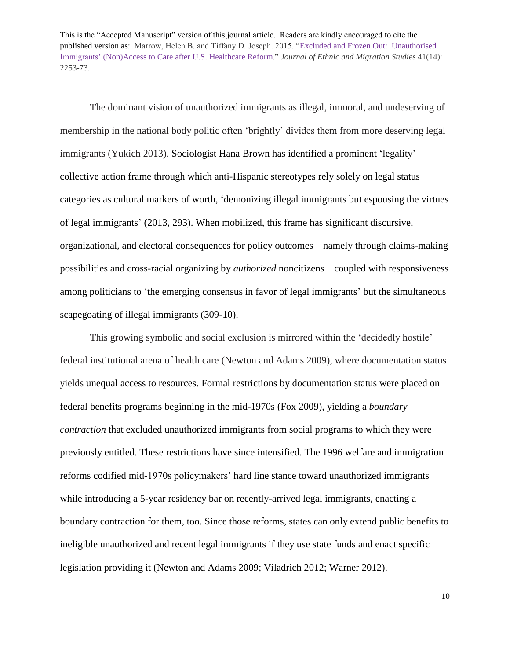The dominant vision of unauthorized immigrants as illegal, immoral, and undeserving of membership in the national body politic often 'brightly' divides them from more deserving legal immigrants (Yukich 2013). Sociologist Hana Brown has identified a prominent 'legality' collective action frame through which anti-Hispanic stereotypes rely solely on legal status categories as cultural markers of worth, 'demonizing illegal immigrants but espousing the virtues of legal immigrants' (2013, 293). When mobilized, this frame has significant discursive, organizational, and electoral consequences for policy outcomes – namely through claims-making possibilities and cross-racial organizing by *authorized* noncitizens – coupled with responsiveness among politicians to 'the emerging consensus in favor of legal immigrants' but the simultaneous scapegoating of illegal immigrants (309-10).

This growing symbolic and social exclusion is mirrored within the 'decidedly hostile' federal institutional arena of health care (Newton and Adams 2009), where documentation status yields unequal access to resources. Formal restrictions by documentation status were placed on federal benefits programs beginning in the mid-1970s (Fox 2009), yielding a *boundary contraction* that excluded unauthorized immigrants from social programs to which they were previously entitled. These restrictions have since intensified. The 1996 welfare and immigration reforms codified mid-1970s policymakers' hard line stance toward unauthorized immigrants while introducing a 5-year residency bar on recently-arrived legal immigrants, enacting a boundary contraction for them, too. Since those reforms, states can only extend public benefits to ineligible unauthorized and recent legal immigrants if they use state funds and enact specific legislation providing it (Newton and Adams 2009; Viladrich 2012; Warner 2012).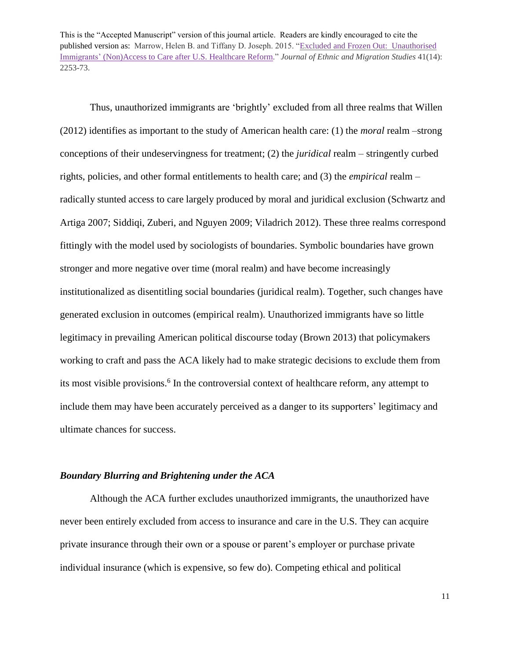Thus, unauthorized immigrants are 'brightly' excluded from all three realms that Willen (2012) identifies as important to the study of American health care: (1) the *moral* realm –strong conceptions of their undeservingness for treatment; (2) the *juridical* realm – stringently curbed rights, policies, and other formal entitlements to health care; and (3) the *empirical* realm – radically stunted access to care largely produced by moral and juridical exclusion (Schwartz and Artiga 2007; Siddiqi, Zuberi, and Nguyen 2009; Viladrich 2012). These three realms correspond fittingly with the model used by sociologists of boundaries. Symbolic boundaries have grown stronger and more negative over time (moral realm) and have become increasingly institutionalized as disentitling social boundaries (juridical realm). Together, such changes have generated exclusion in outcomes (empirical realm). Unauthorized immigrants have so little legitimacy in prevailing American political discourse today (Brown 2013) that policymakers working to craft and pass the ACA likely had to make strategic decisions to exclude them from its most visible provisions. 6 In the controversial context of healthcare reform, any attempt to include them may have been accurately perceived as a danger to its supporters' legitimacy and ultimate chances for success.

#### *Boundary Blurring and Brightening under the ACA*

Although the ACA further excludes unauthorized immigrants, the unauthorized have never been entirely excluded from access to insurance and care in the U.S. They can acquire private insurance through their own or a spouse or parent's employer or purchase private individual insurance (which is expensive, so few do). Competing ethical and political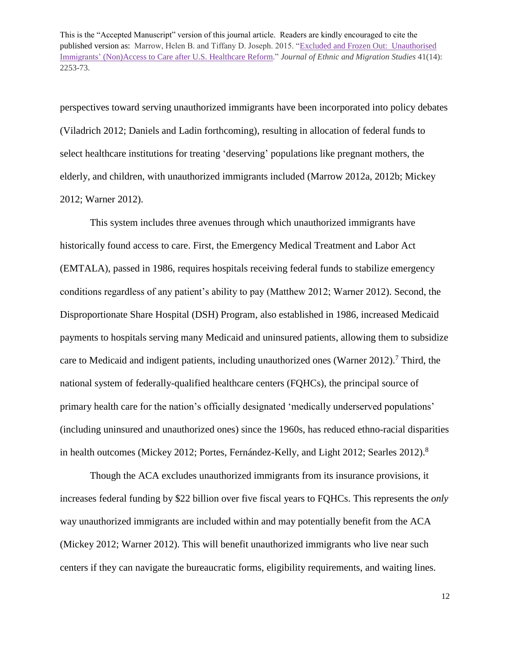perspectives toward serving unauthorized immigrants have been incorporated into policy debates (Viladrich 2012; Daniels and Ladin forthcoming), resulting in allocation of federal funds to select healthcare institutions for treating 'deserving' populations like pregnant mothers, the elderly, and children, with unauthorized immigrants included (Marrow 2012a, 2012b; Mickey 2012; Warner 2012).

This system includes three avenues through which unauthorized immigrants have historically found access to care. First, the Emergency Medical Treatment and Labor Act (EMTALA), passed in 1986, requires hospitals receiving federal funds to stabilize emergency conditions regardless of any patient's ability to pay (Matthew 2012; Warner 2012). Second, the Disproportionate Share Hospital (DSH) Program, also established in 1986, increased Medicaid payments to hospitals serving many Medicaid and uninsured patients, allowing them to subsidize care to Medicaid and indigent patients, including unauthorized ones (Warner 2012). <sup>7</sup> Third, the national system of federally-qualified healthcare centers (FQHCs), the principal source of primary health care for the nation's officially designated 'medically underserved populations' (including uninsured and unauthorized ones) since the 1960s, has reduced ethno-racial disparities in health outcomes (Mickey 2012; Portes, Fernández-Kelly, and Light 2012; Searles 2012).<sup>8</sup>

Though the ACA excludes unauthorized immigrants from its insurance provisions, it increases federal funding by \$22 billion over five fiscal years to FQHCs. This represents the *only* way unauthorized immigrants are included within and may potentially benefit from the ACA (Mickey 2012; Warner 2012). This will benefit unauthorized immigrants who live near such centers if they can navigate the bureaucratic forms, eligibility requirements, and waiting lines.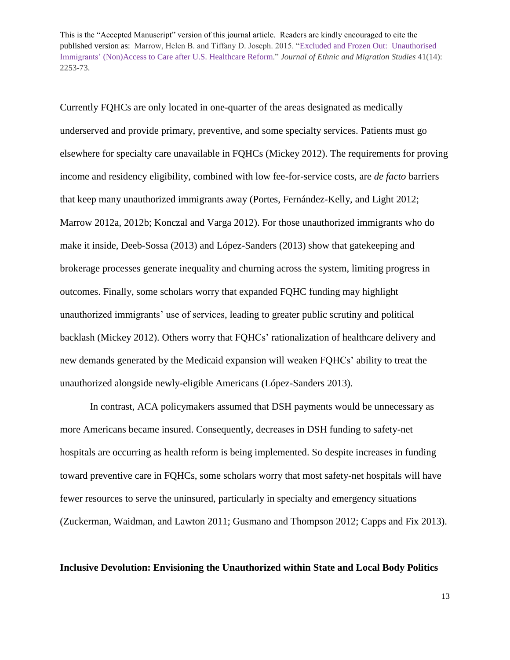Currently FQHCs are only located in one-quarter of the areas designated as medically underserved and provide primary, preventive, and some specialty services. Patients must go elsewhere for specialty care unavailable in FQHCs (Mickey 2012). The requirements for proving income and residency eligibility, combined with low fee-for-service costs, are *de facto* barriers that keep many unauthorized immigrants away (Portes, Fernández-Kelly, and Light 2012; Marrow 2012a, 2012b; Konczal and Varga 2012). For those unauthorized immigrants who do make it inside, Deeb-Sossa (2013) and López-Sanders (2013) show that gatekeeping and brokerage processes generate inequality and churning across the system, limiting progress in outcomes. Finally, some scholars worry that expanded FQHC funding may highlight unauthorized immigrants' use of services, leading to greater public scrutiny and political backlash (Mickey 2012). Others worry that FQHCs' rationalization of healthcare delivery and new demands generated by the Medicaid expansion will weaken FQHCs' ability to treat the unauthorized alongside newly-eligible Americans (López-Sanders 2013).

In contrast, ACA policymakers assumed that DSH payments would be unnecessary as more Americans became insured. Consequently, decreases in DSH funding to safety-net hospitals are occurring as health reform is being implemented. So despite increases in funding toward preventive care in FQHCs, some scholars worry that most safety-net hospitals will have fewer resources to serve the uninsured, particularly in specialty and emergency situations (Zuckerman, Waidman, and Lawton 2011; Gusmano and Thompson 2012; Capps and Fix 2013).

#### **Inclusive Devolution: Envisioning the Unauthorized within State and Local Body Politics**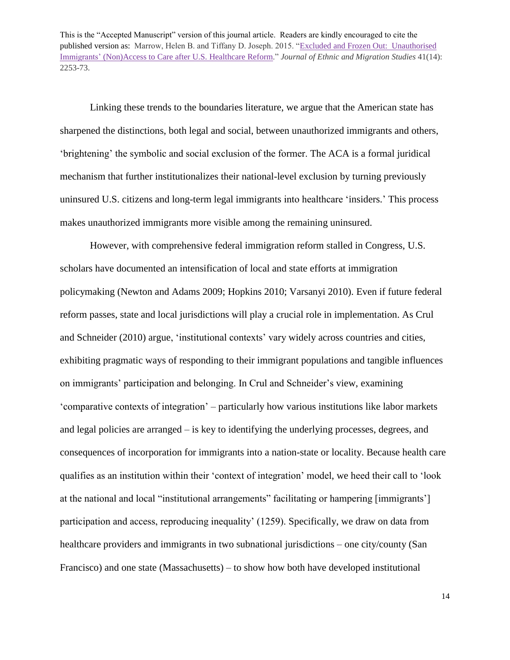Linking these trends to the boundaries literature, we argue that the American state has sharpened the distinctions, both legal and social, between unauthorized immigrants and others, 'brightening' the symbolic and social exclusion of the former. The ACA is a formal juridical mechanism that further institutionalizes their national-level exclusion by turning previously uninsured U.S. citizens and long-term legal immigrants into healthcare 'insiders.' This process makes unauthorized immigrants more visible among the remaining uninsured.

However, with comprehensive federal immigration reform stalled in Congress, U.S. scholars have documented an intensification of local and state efforts at immigration policymaking (Newton and Adams 2009; Hopkins 2010; Varsanyi 2010). Even if future federal reform passes, state and local jurisdictions will play a crucial role in implementation. As Crul and Schneider (2010) argue, 'institutional contexts' vary widely across countries and cities, exhibiting pragmatic ways of responding to their immigrant populations and tangible influences on immigrants' participation and belonging. In Crul and Schneider's view, examining 'comparative contexts of integration' – particularly how various institutions like labor markets and legal policies are arranged – is key to identifying the underlying processes, degrees, and consequences of incorporation for immigrants into a nation-state or locality. Because health care qualifies as an institution within their 'context of integration' model, we heed their call to 'look at the national and local "institutional arrangements" facilitating or hampering [immigrants'] participation and access, reproducing inequality' (1259). Specifically, we draw on data from healthcare providers and immigrants in two subnational jurisdictions – one city/county (San Francisco) and one state (Massachusetts) – to show how both have developed institutional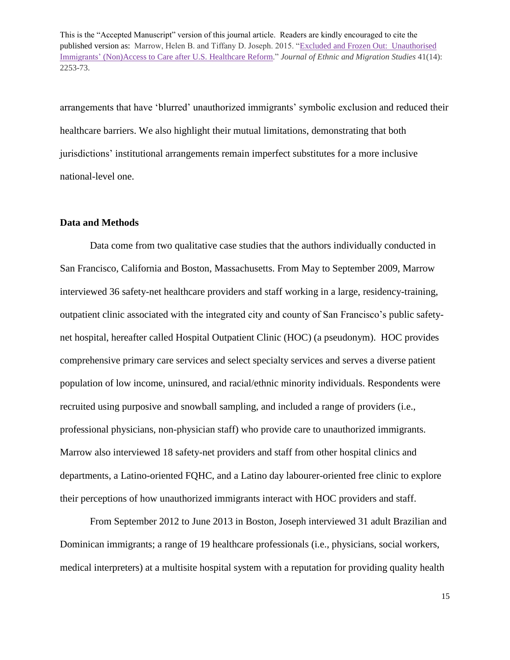arrangements that have 'blurred' unauthorized immigrants' symbolic exclusion and reduced their healthcare barriers. We also highlight their mutual limitations, demonstrating that both jurisdictions' institutional arrangements remain imperfect substitutes for a more inclusive national-level one.

#### **Data and Methods**

Data come from two qualitative case studies that the authors individually conducted in San Francisco, California and Boston, Massachusetts. From May to September 2009, Marrow interviewed 36 safety-net healthcare providers and staff working in a large, residency-training, outpatient clinic associated with the integrated city and county of San Francisco's public safetynet hospital, hereafter called Hospital Outpatient Clinic (HOC) (a pseudonym). HOC provides comprehensive primary care services and select specialty services and serves a diverse patient population of low income, uninsured, and racial/ethnic minority individuals. Respondents were recruited using purposive and snowball sampling, and included a range of providers (i.e., professional physicians, non-physician staff) who provide care to unauthorized immigrants. Marrow also interviewed 18 safety-net providers and staff from other hospital clinics and departments, a Latino-oriented FQHC, and a Latino day labourer-oriented free clinic to explore their perceptions of how unauthorized immigrants interact with HOC providers and staff.

From September 2012 to June 2013 in Boston, Joseph interviewed 31 adult Brazilian and Dominican immigrants; a range of 19 healthcare professionals (i.e., physicians, social workers, medical interpreters) at a multisite hospital system with a reputation for providing quality health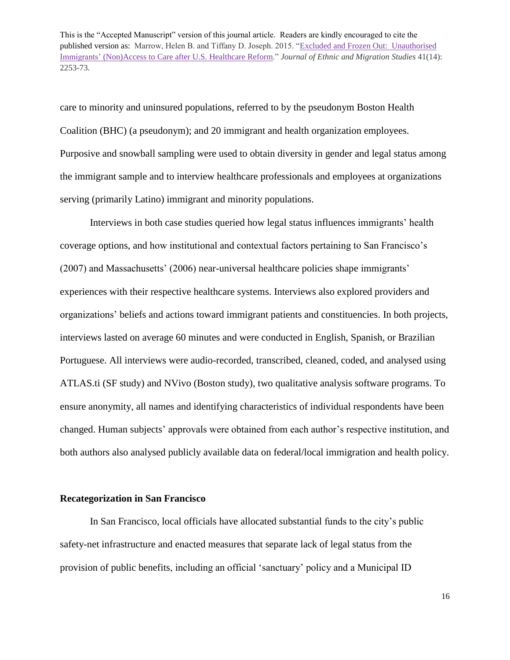care to minority and uninsured populations, referred to by the pseudonym Boston Health Coalition (BHC) (a pseudonym); and 20 immigrant and health organization employees. Purposive and snowball sampling were used to obtain diversity in gender and legal status among the immigrant sample and to interview healthcare professionals and employees at organizations serving (primarily Latino) immigrant and minority populations.

Interviews in both case studies queried how legal status influences immigrants' health coverage options, and how institutional and contextual factors pertaining to San Francisco's (2007) and Massachusetts' (2006) near-universal healthcare policies shape immigrants' experiences with their respective healthcare systems. Interviews also explored providers and organizations' beliefs and actions toward immigrant patients and constituencies. In both projects, interviews lasted on average 60 minutes and were conducted in English, Spanish, or Brazilian Portuguese. All interviews were audio-recorded, transcribed, cleaned, coded, and analysed using ATLAS.ti (SF study) and NVivo (Boston study), two qualitative analysis software programs. To ensure anonymity, all names and identifying characteristics of individual respondents have been changed. Human subjects' approvals were obtained from each author's respective institution, and both authors also analysed publicly available data on federal/local immigration and health policy.

#### **Recategorization in San Francisco**

In San Francisco, local officials have allocated substantial funds to the city's public safety-net infrastructure and enacted measures that separate lack of legal status from the provision of public benefits, including an official 'sanctuary' policy and a Municipal ID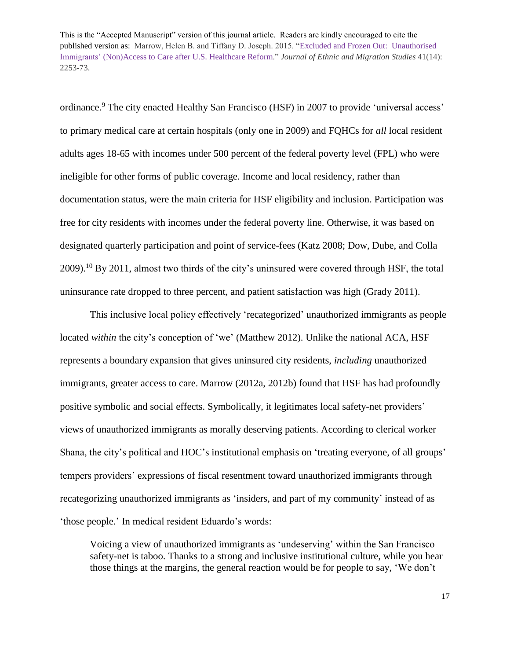ordinance.<sup>9</sup> The city enacted Healthy San Francisco (HSF) in 2007 to provide 'universal access' to primary medical care at certain hospitals (only one in 2009) and FQHCs for *all* local resident adults ages 18-65 with incomes under 500 percent of the federal poverty level (FPL) who were ineligible for other forms of public coverage. Income and local residency, rather than documentation status, were the main criteria for HSF eligibility and inclusion. Participation was free for city residents with incomes under the federal poverty line. Otherwise, it was based on designated quarterly participation and point of service-fees (Katz 2008; Dow, Dube, and Colla 2009).<sup>10</sup> By 2011, almost two thirds of the city's uninsured were covered through HSF, the total uninsurance rate dropped to three percent, and patient satisfaction was high (Grady 2011).

This inclusive local policy effectively 'recategorized' unauthorized immigrants as people located *within* the city's conception of 'we' (Matthew 2012). Unlike the national ACA, HSF represents a boundary expansion that gives uninsured city residents, *including* unauthorized immigrants, greater access to care. Marrow (2012a, 2012b) found that HSF has had profoundly positive symbolic and social effects. Symbolically, it legitimates local safety-net providers' views of unauthorized immigrants as morally deserving patients. According to clerical worker Shana, the city's political and HOC's institutional emphasis on 'treating everyone, of all groups' tempers providers' expressions of fiscal resentment toward unauthorized immigrants through recategorizing unauthorized immigrants as 'insiders, and part of my community' instead of as 'those people.' In medical resident Eduardo's words:

Voicing a view of unauthorized immigrants as 'undeserving' within the San Francisco safety-net is taboo. Thanks to a strong and inclusive institutional culture, while you hear those things at the margins, the general reaction would be for people to say, 'We don't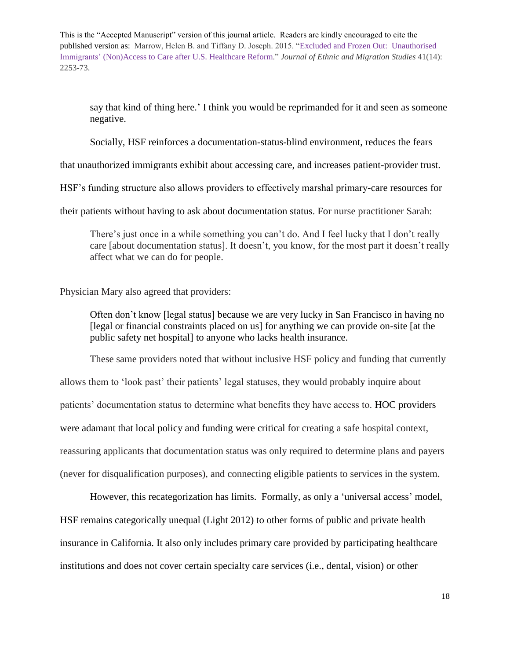say that kind of thing here.' I think you would be reprimanded for it and seen as someone negative.

Socially, HSF reinforces a documentation-status-blind environment, reduces the fears

that unauthorized immigrants exhibit about accessing care, and increases patient-provider trust.

HSF's funding structure also allows providers to effectively marshal primary-care resources for

their patients without having to ask about documentation status. For nurse practitioner Sarah:

There's just once in a while something you can't do. And I feel lucky that I don't really care [about documentation status]. It doesn't, you know, for the most part it doesn't really affect what we can do for people.

Physician Mary also agreed that providers:

Often don't know [legal status] because we are very lucky in San Francisco in having no [legal or financial constraints placed on us] for anything we can provide on-site [at the public safety net hospital] to anyone who lacks health insurance.

These same providers noted that without inclusive HSF policy and funding that currently allows them to 'look past' their patients' legal statuses, they would probably inquire about patients' documentation status to determine what benefits they have access to. HOC providers were adamant that local policy and funding were critical for creating a safe hospital context, reassuring applicants that documentation status was only required to determine plans and payers (never for disqualification purposes), and connecting eligible patients to services in the system.

However, this recategorization has limits. Formally, as only a 'universal access' model, HSF remains categorically unequal (Light 2012) to other forms of public and private health insurance in California. It also only includes primary care provided by participating healthcare institutions and does not cover certain specialty care services (i.e., dental, vision) or other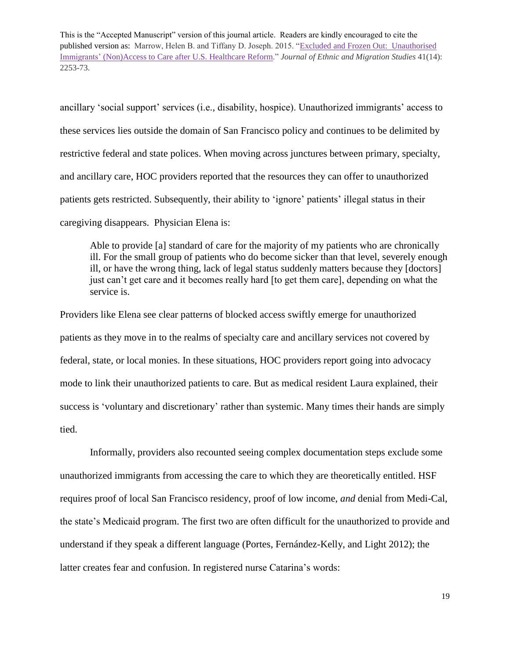ancillary 'social support' services (i.e., disability, hospice). Unauthorized immigrants' access to these services lies outside the domain of San Francisco policy and continues to be delimited by restrictive federal and state polices. When moving across junctures between primary, specialty, and ancillary care, HOC providers reported that the resources they can offer to unauthorized patients gets restricted. Subsequently, their ability to 'ignore' patients' illegal status in their caregiving disappears. Physician Elena is:

Able to provide [a] standard of care for the majority of my patients who are chronically ill. For the small group of patients who do become sicker than that level, severely enough ill, or have the wrong thing, lack of legal status suddenly matters because they [doctors] just can't get care and it becomes really hard [to get them care], depending on what the service is.

Providers like Elena see clear patterns of blocked access swiftly emerge for unauthorized patients as they move in to the realms of specialty care and ancillary services not covered by federal, state, or local monies. In these situations, HOC providers report going into advocacy mode to link their unauthorized patients to care. But as medical resident Laura explained, their success is 'voluntary and discretionary' rather than systemic. Many times their hands are simply tied.

Informally, providers also recounted seeing complex documentation steps exclude some unauthorized immigrants from accessing the care to which they are theoretically entitled. HSF requires proof of local San Francisco residency, proof of low income, *and* denial from Medi-Cal, the state's Medicaid program. The first two are often difficult for the unauthorized to provide and understand if they speak a different language (Portes, Fernández-Kelly, and Light 2012); the latter creates fear and confusion. In registered nurse Catarina's words: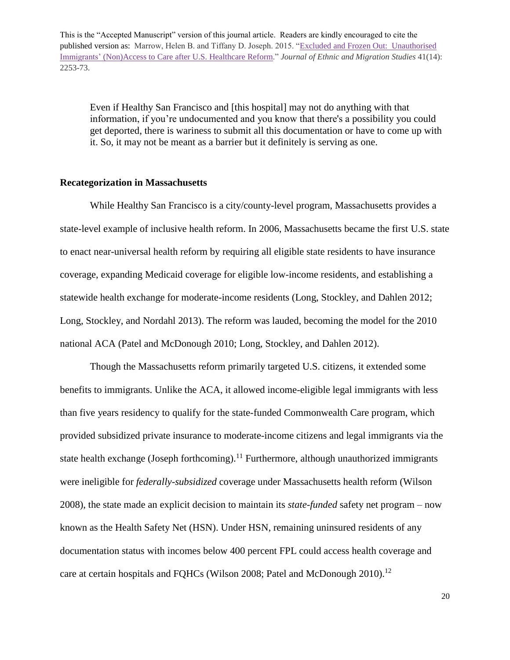Even if Healthy San Francisco and [this hospital] may not do anything with that information, if you're undocumented and you know that there's a possibility you could get deported, there is wariness to submit all this documentation or have to come up with it. So, it may not be meant as a barrier but it definitely is serving as one.

#### **Recategorization in Massachusetts**

While Healthy San Francisco is a city/county-level program, Massachusetts provides a state-level example of inclusive health reform. In 2006, Massachusetts became the first U.S. state to enact near-universal health reform by requiring all eligible state residents to have insurance coverage, expanding Medicaid coverage for eligible low-income residents, and establishing a statewide health exchange for moderate-income residents (Long, Stockley, and Dahlen 2012; Long, Stockley, and Nordahl 2013). The reform was lauded, becoming the model for the 2010 national ACA (Patel and McDonough 2010; Long, Stockley, and Dahlen 2012).

Though the Massachusetts reform primarily targeted U.S. citizens, it extended some benefits to immigrants. Unlike the ACA, it allowed income-eligible legal immigrants with less than five years residency to qualify for the state-funded Commonwealth Care program, which provided subsidized private insurance to moderate-income citizens and legal immigrants via the state health exchange (Joseph forthcoming).<sup>11</sup> Furthermore, although unauthorized immigrants were ineligible for *federally-subsidized* coverage under Massachusetts health reform (Wilson 2008), the state made an explicit decision to maintain its *state-funded* safety net program – now known as the Health Safety Net (HSN). Under HSN, remaining uninsured residents of any documentation status with incomes below 400 percent FPL could access health coverage and care at certain hospitals and FQHCs (Wilson 2008; Patel and McDonough 2010).<sup>12</sup>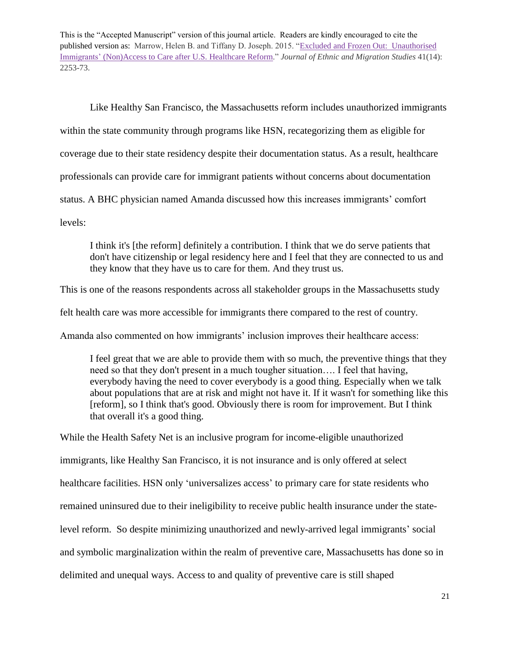Like Healthy San Francisco, the Massachusetts reform includes unauthorized immigrants within the state community through programs like HSN, recategorizing them as eligible for coverage due to their state residency despite their documentation status. As a result, healthcare professionals can provide care for immigrant patients without concerns about documentation status. A BHC physician named Amanda discussed how this increases immigrants' comfort levels:

I think it's [the reform] definitely a contribution. I think that we do serve patients that don't have citizenship or legal residency here and I feel that they are connected to us and they know that they have us to care for them. And they trust us.

This is one of the reasons respondents across all stakeholder groups in the Massachusetts study

felt health care was more accessible for immigrants there compared to the rest of country.

Amanda also commented on how immigrants' inclusion improves their healthcare access:

I feel great that we are able to provide them with so much, the preventive things that they need so that they don't present in a much tougher situation…. I feel that having, everybody having the need to cover everybody is a good thing. Especially when we talk about populations that are at risk and might not have it. If it wasn't for something like this [reform], so I think that's good. Obviously there is room for improvement. But I think that overall it's a good thing.

While the Health Safety Net is an inclusive program for income-eligible unauthorized immigrants, like Healthy San Francisco, it is not insurance and is only offered at select healthcare facilities. HSN only 'universalizes access' to primary care for state residents who remained uninsured due to their ineligibility to receive public health insurance under the statelevel reform. So despite minimizing unauthorized and newly-arrived legal immigrants' social and symbolic marginalization within the realm of preventive care, Massachusetts has done so in delimited and unequal ways. Access to and quality of preventive care is still shaped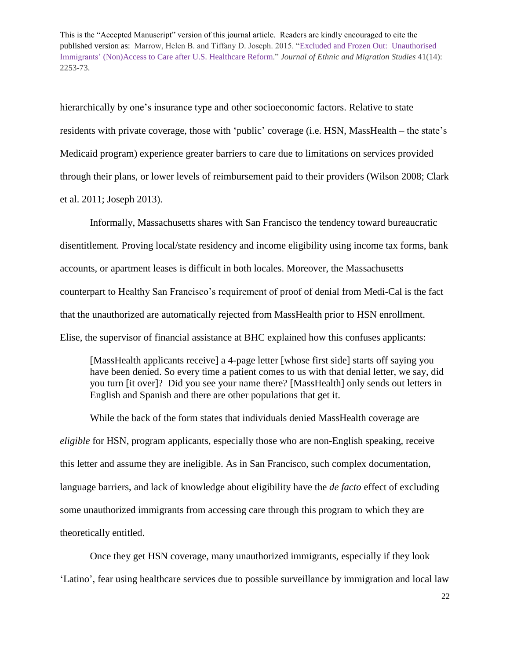hierarchically by one's insurance type and other socioeconomic factors. Relative to state residents with private coverage, those with 'public' coverage (i.e. HSN, MassHealth – the state's Medicaid program) experience greater barriers to care due to limitations on services provided through their plans, or lower levels of reimbursement paid to their providers (Wilson 2008; Clark et al. 2011; Joseph 2013).

Informally, Massachusetts shares with San Francisco the tendency toward bureaucratic disentitlement. Proving local/state residency and income eligibility using income tax forms, bank accounts, or apartment leases is difficult in both locales. Moreover, the Massachusetts counterpart to Healthy San Francisco's requirement of proof of denial from Medi-Cal is the fact that the unauthorized are automatically rejected from MassHealth prior to HSN enrollment. Elise, the supervisor of financial assistance at BHC explained how this confuses applicants:

[MassHealth applicants receive] a 4-page letter [whose first side] starts off saying you have been denied. So every time a patient comes to us with that denial letter, we say, did you turn [it over]? Did you see your name there? [MassHealth] only sends out letters in English and Spanish and there are other populations that get it.

While the back of the form states that individuals denied MassHealth coverage are *eligible* for HSN, program applicants, especially those who are non-English speaking, receive this letter and assume they are ineligible. As in San Francisco, such complex documentation, language barriers, and lack of knowledge about eligibility have the *de facto* effect of excluding some unauthorized immigrants from accessing care through this program to which they are theoretically entitled.

Once they get HSN coverage, many unauthorized immigrants, especially if they look 'Latino', fear using healthcare services due to possible surveillance by immigration and local law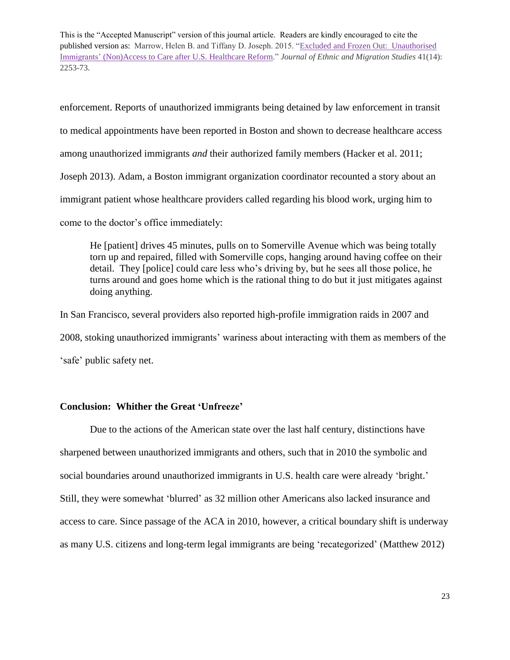enforcement. Reports of unauthorized immigrants being detained by law enforcement in transit to medical appointments have been reported in Boston and shown to decrease healthcare access among unauthorized immigrants *and* their authorized family members (Hacker et al. 2011; Joseph 2013). Adam, a Boston immigrant organization coordinator recounted a story about an immigrant patient whose healthcare providers called regarding his blood work, urging him to come to the doctor's office immediately:

He [patient] drives 45 minutes, pulls on to Somerville Avenue which was being totally torn up and repaired, filled with Somerville cops, hanging around having coffee on their detail. They [police] could care less who's driving by, but he sees all those police, he turns around and goes home which is the rational thing to do but it just mitigates against doing anything.

In San Francisco, several providers also reported high-profile immigration raids in 2007 and 2008, stoking unauthorized immigrants' wariness about interacting with them as members of the 'safe' public safety net.

#### **Conclusion: Whither the Great 'Unfreeze'**

Due to the actions of the American state over the last half century, distinctions have sharpened between unauthorized immigrants and others, such that in 2010 the symbolic and social boundaries around unauthorized immigrants in U.S. health care were already 'bright.' Still, they were somewhat 'blurred' as 32 million other Americans also lacked insurance and access to care. Since passage of the ACA in 2010, however, a critical boundary shift is underway as many U.S. citizens and long-term legal immigrants are being 'recategorized' (Matthew 2012)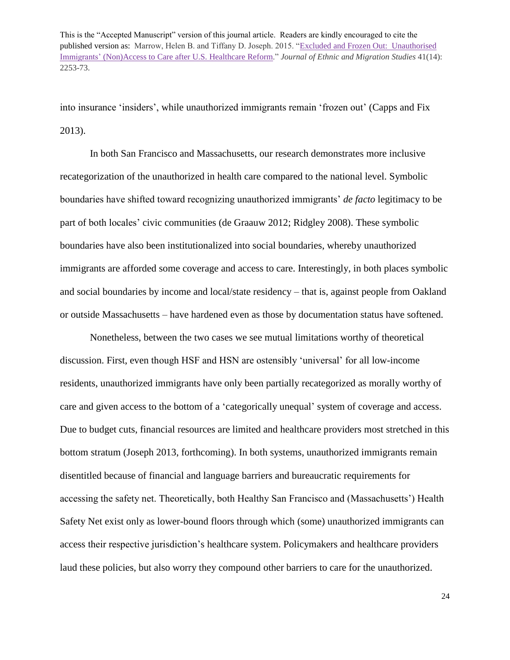into insurance 'insiders', while unauthorized immigrants remain 'frozen out' (Capps and Fix 2013).

In both San Francisco and Massachusetts, our research demonstrates more inclusive recategorization of the unauthorized in health care compared to the national level. Symbolic boundaries have shifted toward recognizing unauthorized immigrants' *de facto* legitimacy to be part of both locales' civic communities (de Graauw 2012; Ridgley 2008). These symbolic boundaries have also been institutionalized into social boundaries, whereby unauthorized immigrants are afforded some coverage and access to care. Interestingly, in both places symbolic and social boundaries by income and local/state residency – that is, against people from Oakland or outside Massachusetts – have hardened even as those by documentation status have softened.

Nonetheless, between the two cases we see mutual limitations worthy of theoretical discussion. First, even though HSF and HSN are ostensibly 'universal' for all low-income residents, unauthorized immigrants have only been partially recategorized as morally worthy of care and given access to the bottom of a 'categorically unequal' system of coverage and access. Due to budget cuts, financial resources are limited and healthcare providers most stretched in this bottom stratum (Joseph 2013, forthcoming). In both systems, unauthorized immigrants remain disentitled because of financial and language barriers and bureaucratic requirements for accessing the safety net. Theoretically, both Healthy San Francisco and (Massachusetts') Health Safety Net exist only as lower-bound floors through which (some) unauthorized immigrants can access their respective jurisdiction's healthcare system. Policymakers and healthcare providers laud these policies, but also worry they compound other barriers to care for the unauthorized.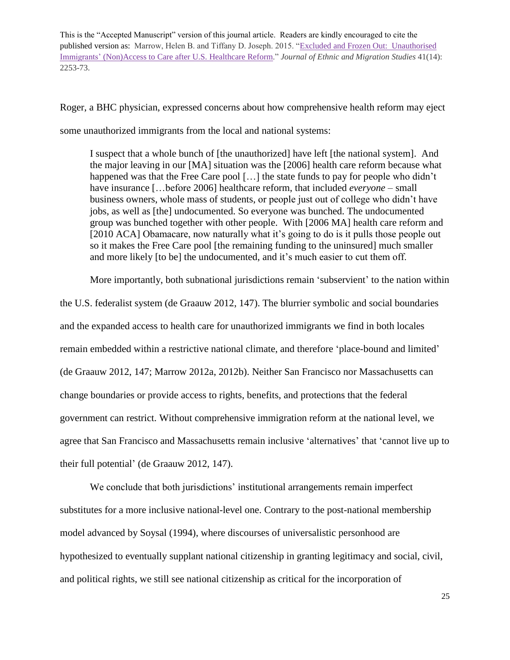Roger, a BHC physician, expressed concerns about how comprehensive health reform may eject some unauthorized immigrants from the local and national systems:

I suspect that a whole bunch of [the unauthorized] have left [the national system]. And the major leaving in our [MA] situation was the [2006] health care reform because what happened was that the Free Care pool [...] the state funds to pay for people who didn't have insurance […before 2006] healthcare reform, that included *everyone* – small business owners, whole mass of students, or people just out of college who didn't have jobs, as well as [the] undocumented. So everyone was bunched. The undocumented group was bunched together with other people. With [2006 MA] health care reform and [2010 ACA] Obamacare, now naturally what it's going to do is it pulls those people out so it makes the Free Care pool [the remaining funding to the uninsured] much smaller and more likely [to be] the undocumented, and it's much easier to cut them off.

More importantly, both subnational jurisdictions remain 'subservient' to the nation within

the U.S. federalist system (de Graauw 2012, 147). The blurrier symbolic and social boundaries and the expanded access to health care for unauthorized immigrants we find in both locales remain embedded within a restrictive national climate, and therefore 'place-bound and limited' (de Graauw 2012, 147; Marrow 2012a, 2012b). Neither San Francisco nor Massachusetts can change boundaries or provide access to rights, benefits, and protections that the federal government can restrict. Without comprehensive immigration reform at the national level, we agree that San Francisco and Massachusetts remain inclusive 'alternatives' that 'cannot live up to their full potential' (de Graauw 2012, 147).

We conclude that both jurisdictions' institutional arrangements remain imperfect substitutes for a more inclusive national-level one. Contrary to the post-national membership model advanced by Soysal (1994), where discourses of universalistic personhood are hypothesized to eventually supplant national citizenship in granting legitimacy and social, civil, and political rights, we still see national citizenship as critical for the incorporation of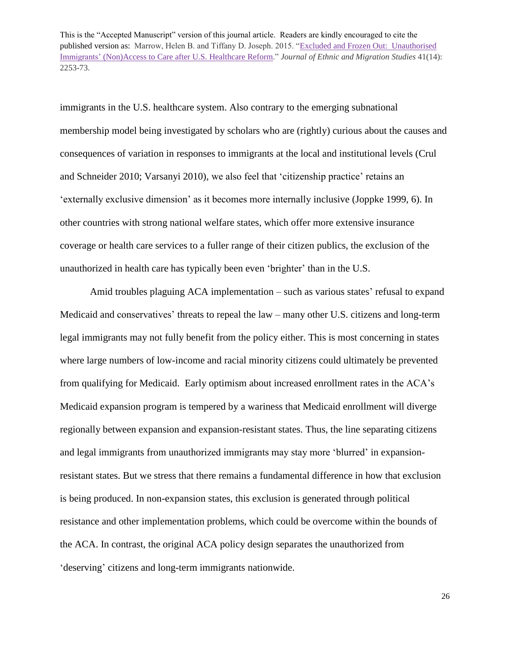immigrants in the U.S. healthcare system. Also contrary to the emerging subnational membership model being investigated by scholars who are (rightly) curious about the causes and consequences of variation in responses to immigrants at the local and institutional levels (Crul and Schneider 2010; Varsanyi 2010), we also feel that 'citizenship practice' retains an 'externally exclusive dimension' as it becomes more internally inclusive (Joppke 1999, 6). In other countries with strong national welfare states, which offer more extensive insurance coverage or health care services to a fuller range of their citizen publics, the exclusion of the unauthorized in health care has typically been even 'brighter' than in the U.S.

Amid troubles plaguing ACA implementation – such as various states' refusal to expand Medicaid and conservatives' threats to repeal the law – many other U.S. citizens and long-term legal immigrants may not fully benefit from the policy either. This is most concerning in states where large numbers of low-income and racial minority citizens could ultimately be prevented from qualifying for Medicaid. Early optimism about increased enrollment rates in the ACA's Medicaid expansion program is tempered by a wariness that Medicaid enrollment will diverge regionally between expansion and expansion-resistant states. Thus, the line separating citizens and legal immigrants from unauthorized immigrants may stay more 'blurred' in expansionresistant states. But we stress that there remains a fundamental difference in how that exclusion is being produced. In non-expansion states, this exclusion is generated through political resistance and other implementation problems, which could be overcome within the bounds of the ACA. In contrast, the original ACA policy design separates the unauthorized from 'deserving' citizens and long-term immigrants nationwide.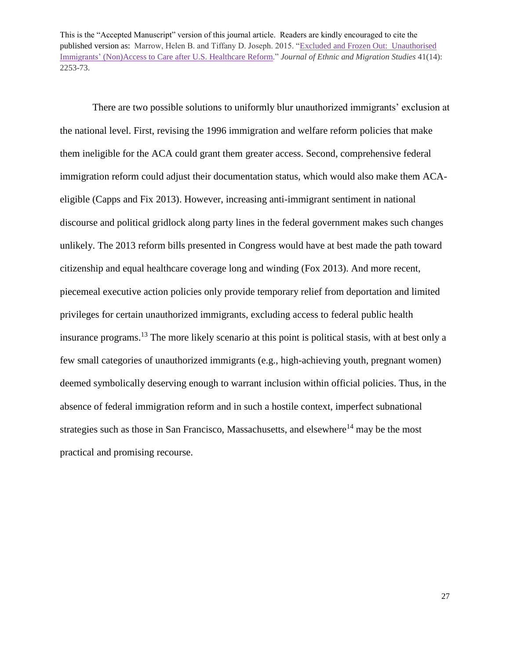There are two possible solutions to uniformly blur unauthorized immigrants' exclusion at the national level. First, revising the 1996 immigration and welfare reform policies that make them ineligible for the ACA could grant them greater access. Second, comprehensive federal immigration reform could adjust their documentation status, which would also make them ACAeligible (Capps and Fix 2013). However, increasing anti-immigrant sentiment in national discourse and political gridlock along party lines in the federal government makes such changes unlikely. The 2013 reform bills presented in Congress would have at best made the path toward citizenship and equal healthcare coverage long and winding (Fox 2013). And more recent, piecemeal executive action policies only provide temporary relief from deportation and limited privileges for certain unauthorized immigrants, excluding access to federal public health insurance programs. <sup>13</sup> The more likely scenario at this point is political stasis, with at best only a few small categories of unauthorized immigrants (e.g., high-achieving youth, pregnant women) deemed symbolically deserving enough to warrant inclusion within official policies. Thus, in the absence of federal immigration reform and in such a hostile context, imperfect subnational strategies such as those in San Francisco, Massachusetts, and elsewhere<sup>14</sup> may be the most practical and promising recourse.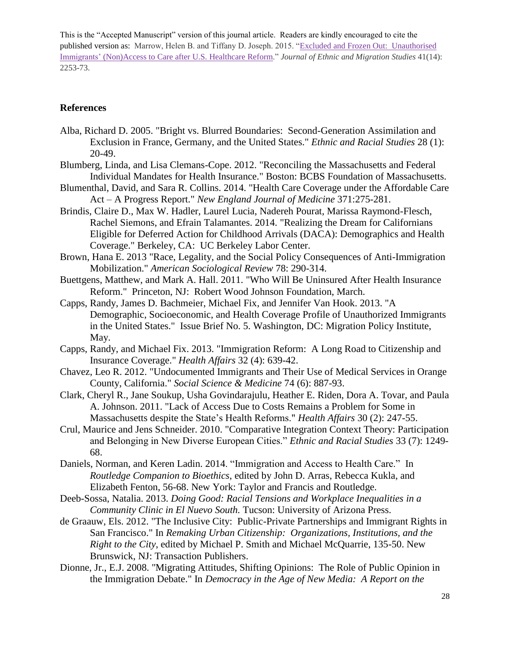#### **References**

- Alba, Richard D. 2005. "Bright vs. Blurred Boundaries: Second-Generation Assimilation and Exclusion in France, Germany, and the United States." *Ethnic and Racial Studies* 28 (1): 20-49.
- Blumberg, Linda, and Lisa Clemans-Cope. 2012. "Reconciling the Massachusetts and Federal Individual Mandates for Health Insurance." Boston: BCBS Foundation of Massachusetts.
- Blumenthal, David, and Sara R. Collins. 2014. "Health Care Coverage under the Affordable Care Act – A Progress Report." *New England Journal of Medicine* 371:275-281.
- Brindis, Claire D., Max W. Hadler, Laurel Lucia, Nadereh Pourat, Marissa Raymond-Flesch, Rachel Siemons, and Efrain Talamantes. 2014. "Realizing the Dream for Californians Eligible for Deferred Action for Childhood Arrivals (DACA): Demographics and Health Coverage." Berkeley, CA: UC Berkeley Labor Center.
- Brown, Hana E. 2013 "Race, Legality, and the Social Policy Consequences of Anti-Immigration Mobilization." *American Sociological Review* 78: 290-314.
- Buettgens, Matthew, and Mark A. Hall. 2011. "Who Will Be Uninsured After Health Insurance Reform." Princeton, NJ: Robert Wood Johnson Foundation, March.
- Capps, Randy, James D. Bachmeier, Michael Fix, and Jennifer Van Hook. 2013. "A Demographic, Socioeconomic, and Health Coverage Profile of Unauthorized Immigrants in the United States." Issue Brief No. 5. Washington, DC: Migration Policy Institute, May.
- Capps, Randy, and Michael Fix. 2013. "Immigration Reform: A Long Road to Citizenship and Insurance Coverage." *Health Affairs* 32 (4): 639-42.
- Chavez, Leo R. 2012. "Undocumented Immigrants and Their Use of Medical Services in Orange County, California." *Social Science & Medicine* 74 (6): 887-93.
- Clark, Cheryl R., Jane Soukup, Usha Govindarajulu, Heather E. Riden, Dora A. Tovar, and Paula A. Johnson. 2011. "Lack of Access Due to Costs Remains a Problem for Some in Massachusetts despite the State's Health Reforms." *Health Affairs* 30 (2): 247-55.
- Crul, Maurice and Jens Schneider. 2010. "Comparative Integration Context Theory: Participation and Belonging in New Diverse European Cities." *Ethnic and Racial Studies* 33 (7): 1249- 68.
- Daniels, Norman, and Keren Ladin. 2014. "Immigration and Access to Health Care." In *Routledge Companion to Bioethics*, edited by John D. Arras, Rebecca Kukla, and Elizabeth Fenton, 56-68. New York: Taylor and Francis and Routledge.
- Deeb-Sossa, Natalia. 2013. *Doing Good: Racial Tensions and Workplace Inequalities in a Community Clinic in El Nuevo South.* Tucson: University of Arizona Press.
- de Graauw, Els. 2012. "The Inclusive City: Public-Private Partnerships and Immigrant Rights in San Francisco." In *Remaking Urban Citizenship: Organizations, Institutions, and the Right to the City*, edited by Michael P. Smith and Michael McQuarrie, 135-50. New Brunswick, NJ: Transaction Publishers.
- Dionne, Jr., E.J. 2008. "Migrating Attitudes, Shifting Opinions: The Role of Public Opinion in the Immigration Debate." In *Democracy in the Age of New Media: A Report on the*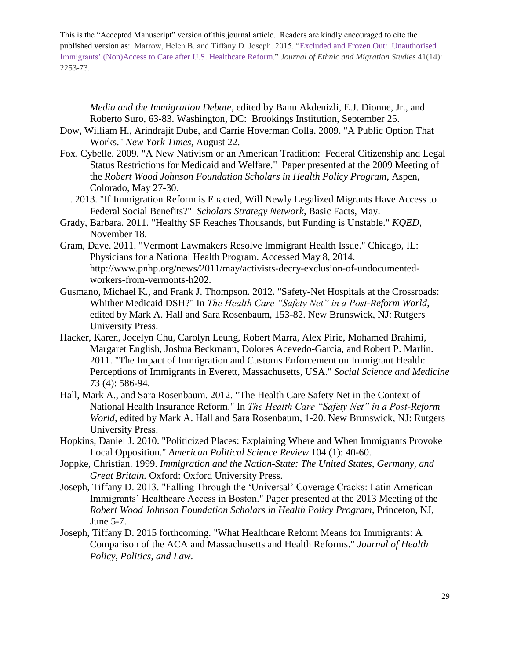*Media and the Immigration Debate*, edited by Banu Akdenizli, E.J. Dionne, Jr., and Roberto Suro, 63-83. Washington, DC: Brookings Institution, September 25.

- Dow, William H., Arindrajit Dube, and Carrie Hoverman Colla. 2009. "A Public Option That Works." *New York Times*, August 22.
- Fox, Cybelle. 2009. "A New Nativism or an American Tradition: Federal Citizenship and Legal Status Restrictions for Medicaid and Welfare." Paper presented at the 2009 Meeting of the *Robert Wood Johnson Foundation Scholars in Health Policy Program*, Aspen, Colorado, May 27-30.
- —. 2013. "If Immigration Reform is Enacted, Will Newly Legalized Migrants Have Access to Federal Social Benefits?" *Scholars Strategy Network*, Basic Facts, May.
- Grady, Barbara. 2011. "Healthy SF Reaches Thousands, but Funding is Unstable." *KQED*, November 18.
- Gram, Dave. 2011. "Vermont Lawmakers Resolve Immigrant Health Issue." Chicago, IL: Physicians for a National Health Program. Accessed May 8, 2014. http://www.pnhp.org/news/2011/may/activists-decry-exclusion-of-undocumentedworkers-from-vermonts-h202.
- Gusmano, Michael K., and Frank J. Thompson. 2012. "Safety-Net Hospitals at the Crossroads: Whither Medicaid DSH?" In *The Health Care "Safety Net" in a Post-Reform World*, edited by Mark A. Hall and Sara Rosenbaum, 153-82. New Brunswick, NJ: Rutgers University Press.
- Hacker, Karen, Jocelyn Chu, Carolyn Leung, Robert Marra, Alex Pirie, Mohamed Brahimi, Margaret English, Joshua Beckmann, Dolores Acevedo-Garcia, and Robert P. Marlin. 2011. "The Impact of Immigration and Customs Enforcement on Immigrant Health: Perceptions of Immigrants in Everett, Massachusetts, USA." *Social Science and Medicine* 73 (4): 586-94.
- Hall, Mark A., and Sara Rosenbaum. 2012. "The Health Care Safety Net in the Context of National Health Insurance Reform." In *The Health Care "Safety Net" in a Post-Reform World*, edited by Mark A. Hall and Sara Rosenbaum, 1-20. New Brunswick, NJ: Rutgers University Press.
- Hopkins, Daniel J. 2010. "Politicized Places: Explaining Where and When Immigrants Provoke Local Opposition." *American Political Science Review* 104 (1): 40-60.
- Joppke, Christian. 1999. *Immigration and the Nation-State: The United States, Germany, and Great Britain.* Oxford: Oxford University Press.
- Joseph, Tiffany D. 2013. "Falling Through the 'Universal' Coverage Cracks: Latin American Immigrants' Healthcare Access in Boston." Paper presented at the 2013 Meeting of the *Robert Wood Johnson Foundation Scholars in Health Policy Program*, Princeton, NJ, June 5-7.
- Joseph, Tiffany D. 2015 forthcoming. "What Healthcare Reform Means for Immigrants: A Comparison of the ACA and Massachusetts and Health Reforms." *Journal of Health Policy, Politics, and Law*.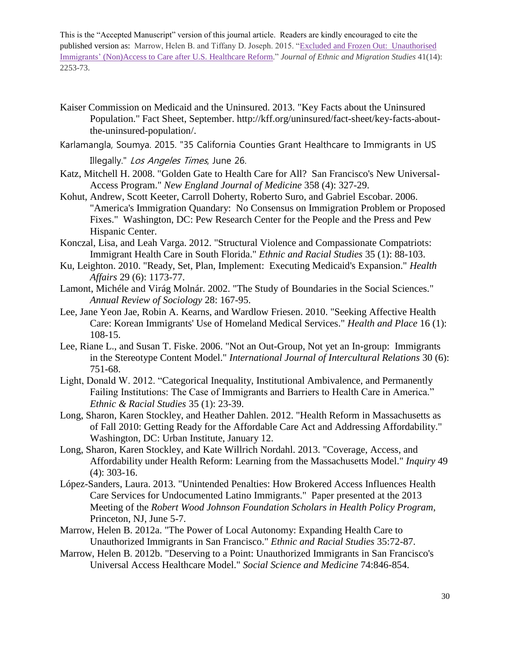- Kaiser Commission on Medicaid and the Uninsured. 2013. "Key Facts about the Uninsured Population." Fact Sheet, September. [http://kff.org/uninsured/fact-sheet/key-facts-about](http://kff.org/uninsured/fact-sheet/key-facts-about-the-uninsured-population/)[the-uninsured-population/.](http://kff.org/uninsured/fact-sheet/key-facts-about-the-uninsured-population/)
- Karlamangla, Soumya. 2015. "35 California Counties Grant Healthcare to Immigrants in US Illegally." Los Angeles Times, June 26.
- Katz, Mitchell H. 2008. "Golden Gate to Health Care for All? San Francisco's New Universal-Access Program." *New England Journal of Medicine* 358 (4): 327-29.
- Kohut, Andrew, Scott Keeter, Carroll Doherty, Roberto Suro, and Gabriel Escobar. 2006. "America's Immigration Quandary: No Consensus on Immigration Problem or Proposed Fixes." Washington, DC: Pew Research Center for the People and the Press and Pew Hispanic Center.
- Konczal, Lisa, and Leah Varga. 2012. "Structural Violence and Compassionate Compatriots: Immigrant Health Care in South Florida." *Ethnic and Racial Studies* 35 (1): 88-103.
- Ku, Leighton. 2010. "Ready, Set, Plan, Implement: Executing Medicaid's Expansion." *Health Affairs* 29 (6): 1173-77.
- Lamont, Michéle and Virág Molnár. 2002. "The Study of Boundaries in the Social Sciences." *Annual Review of Sociology* 28: 167-95.
- Lee, Jane Yeon Jae, Robin A. Kearns, and Wardlow Friesen. 2010. "Seeking Affective Health Care: Korean Immigrants' Use of Homeland Medical Services." *Health and Place* 16 (1): 108-15.
- Lee, Riane L., and Susan T. Fiske. 2006. "Not an Out-Group, Not yet an In-group: Immigrants in the Stereotype Content Model." *International Journal of Intercultural Relations* 30 (6): 751-68.
- Light, Donald W. 2012. "Categorical Inequality, Institutional Ambivalence, and Permanently Failing Institutions: The Case of Immigrants and Barriers to Health Care in America." *Ethnic & Racial Studies* 35 (1): 23-39.
- Long, Sharon, Karen Stockley, and Heather Dahlen. 2012. "Health Reform in Massachusetts as of Fall 2010: Getting Ready for the Affordable Care Act and Addressing Affordability." Washington, DC: Urban Institute, January 12.
- Long, Sharon, Karen Stockley, and Kate Willrich Nordahl. 2013. "Coverage, Access, and Affordability under Health Reform: Learning from the Massachusetts Model." *Inquiry* 49 (4): 303-16.
- López-Sanders, Laura. 2013. "Unintended Penalties: How Brokered Access Influences Health Care Services for Undocumented Latino Immigrants." Paper presented at the 2013 Meeting of the *Robert Wood Johnson Foundation Scholars in Health Policy Program*, Princeton, NJ, June 5-7.
- Marrow, Helen B. 2012a. "The Power of Local Autonomy: Expanding Health Care to Unauthorized Immigrants in San Francisco." *Ethnic and Racial Studies* 35:72-87.
- Marrow, Helen B. 2012b. "Deserving to a Point: Unauthorized Immigrants in San Francisco's Universal Access Healthcare Model." *Social Science and Medicine* 74:846-854.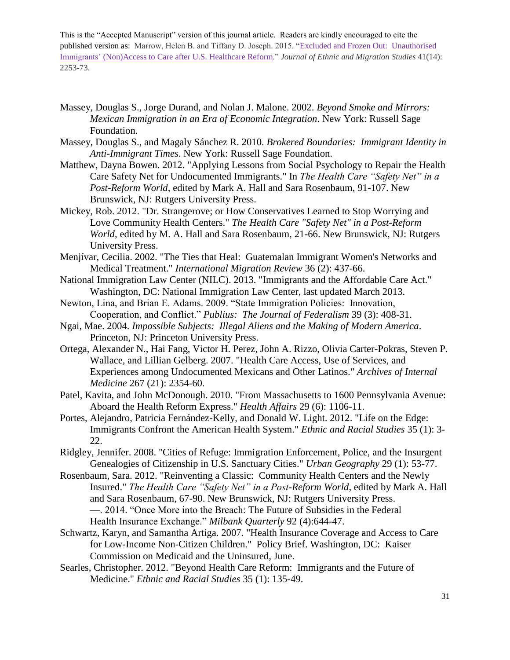- Massey, Douglas S., Jorge Durand, and Nolan J. Malone. 2002. *Beyond Smoke and Mirrors: Mexican Immigration in an Era of Economic Integration*. New York: Russell Sage Foundation.
- Massey, Douglas S., and Magaly Sánchez R. 2010. *Brokered Boundaries: Immigrant Identity in Anti-Immigrant Times*. New York: Russell Sage Foundation.
- Matthew, Dayna Bowen. 2012. "Applying Lessons from Social Psychology to Repair the Health Care Safety Net for Undocumented Immigrants." In *The Health Care "Safety Net" in a Post-Reform World*, edited by Mark A. Hall and Sara Rosenbaum, 91-107. New Brunswick, NJ: Rutgers University Press.
- Mickey, Rob. 2012. "Dr. Strangerove; or How Conservatives Learned to Stop Worrying and Love Community Health Centers." *The Health Care "Safety Net" in a Post-Reform World*, edited by M. A. Hall and Sara Rosenbaum, 21-66. New Brunswick, NJ: Rutgers University Press.
- Menjívar, Cecilia. 2002. "The Ties that Heal: Guatemalan Immigrant Women's Networks and Medical Treatment." *International Migration Review* 36 (2): 437-66.
- National Immigration Law Center (NILC). 2013. "Immigrants and the Affordable Care Act." Washington, DC: National Immigration Law Center, last updated March 2013.
- Newton, Lina, and Brian E. Adams. 2009. "State Immigration Policies: Innovation, Cooperation, and Conflict." *Publius: The Journal of Federalism* 39 (3): 408-31.
- Ngai, Mae. 2004. *Impossible Subjects: Illegal Aliens and the Making of Modern America*. Princeton, NJ: Princeton University Press.
- Ortega, Alexander N., Hai Fang, Victor H. Perez, John A. Rizzo, Olivia Carter-Pokras, Steven P. Wallace, and Lillian Gelberg. 2007. "Health Care Access, Use of Services, and Experiences among Undocumented Mexicans and Other Latinos." *Archives of Internal Medicine* 267 (21): 2354-60.
- Patel, Kavita, and John McDonough. 2010. "From Massachusetts to 1600 Pennsylvania Avenue: Aboard the Health Reform Express." *Health Affairs* 29 (6): 1106-11.
- Portes, Alejandro, Patricia Fernández-Kelly, and Donald W. Light. 2012. "Life on the Edge: Immigrants Confront the American Health System." *Ethnic and Racial Studies* 35 (1): 3- 22.
- Ridgley, Jennifer. 2008. "Cities of Refuge: Immigration Enforcement, Police, and the Insurgent Genealogies of Citizenship in U.S. Sanctuary Cities." *Urban Geography* 29 (1): 53-77.
- Rosenbaum, Sara. 2012. "Reinventing a Classic: Community Health Centers and the Newly Insured." *The Health Care "Safety Net" in a Post-Reform World*, edited by Mark A. Hall and Sara Rosenbaum, 67-90. New Brunswick, NJ: Rutgers University Press. —. 2014. "Once More into the Breach: The Future of Subsidies in the Federal Health Insurance Exchange." *Milbank Quarterly* 92 (4):644-47.
- Schwartz, Karyn, and Samantha Artiga. 2007. "Health Insurance Coverage and Access to Care for Low-Income Non-Citizen Children." Policy Brief. Washington, DC: Kaiser Commission on Medicaid and the Uninsured, June.
- Searles, Christopher. 2012. "Beyond Health Care Reform: Immigrants and the Future of Medicine." *Ethnic and Racial Studies* 35 (1): 135-49.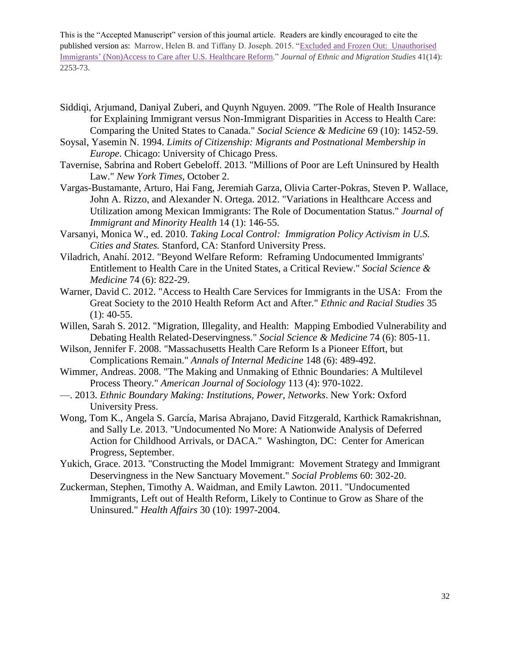- Siddiqi, Arjumand, Daniyal Zuberi, and Quynh Nguyen. 2009. "The Role of Health Insurance for Explaining Immigrant versus Non-Immigrant Disparities in Access to Health Care: Comparing the United States to Canada." *Social Science & Medicine* 69 (10): 1452-59.
- Soysal, Yasemin N. 1994. *Limits of Citizenship: Migrants and Postnational Membership in Europe*. Chicago: University of Chicago Press.
- Tavernise, Sabrina and Robert Gebeloff. 2013. "Millions of Poor are Left Uninsured by Health Law." *New York Times,* October 2.
- Vargas-Bustamante, Arturo, Hai Fang, Jeremiah Garza, Olivia Carter-Pokras, Steven P. Wallace, John A. Rizzo, and Alexander N. Ortega. 2012. "Variations in Healthcare Access and Utilization among Mexican Immigrants: The Role of Documentation Status." *Journal of Immigrant and Minority Health* 14 (1): 146-55.
- Varsanyi, Monica W., ed. 2010. *Taking Local Control: Immigration Policy Activism in U.S. Cities and States.* Stanford, CA: Stanford University Press.
- Viladrich, Anahí. 2012. "Beyond Welfare Reform: Reframing Undocumented Immigrants' Entitlement to Health Care in the United States, a Critical Review." *Social Science & Medicine* 74 (6): 822-29.
- Warner, David C. 2012. "Access to Health Care Services for Immigrants in the USA: From the Great Society to the 2010 Health Reform Act and After." *Ethnic and Racial Studies* 35  $(1): 40-55.$
- Willen, Sarah S. 2012. "Migration, Illegality, and Health: Mapping Embodied Vulnerability and Debating Health Related-Deservingness." *Social Science & Medicine* 74 (6): 805-11.
- Wilson, Jennifer F. 2008. "Massachusetts Health Care Reform Is a Pioneer Effort, but Complications Remain." *Annals of Internal Medicine* 148 (6): 489-492.
- Wimmer, Andreas. 2008. "The Making and Unmaking of Ethnic Boundaries: A Multilevel Process Theory." *American Journal of Sociology* 113 (4): 970-1022.
- —. 2013. *Ethnic Boundary Making: Institutions, Power, Networks*. New York: Oxford University Press.
- Wong, Tom K., Angela S. García, Marisa Abrajano, David Fitzgerald, Karthick Ramakrishnan, and Sally Le. 2013. "Undocumented No More: A Nationwide Analysis of Deferred Action for Childhood Arrivals, or DACA." Washington, DC: Center for American Progress, September.
- Yukich, Grace. 2013. "Constructing the Model Immigrant: Movement Strategy and Immigrant Deservingness in the New Sanctuary Movement." *Social Problems* 60: 302-20.
- Zuckerman, Stephen, Timothy A. Waidman, and Emily Lawton. 2011. "Undocumented Immigrants, Left out of Health Reform, Likely to Continue to Grow as Share of the Uninsured." *Health Affairs* 30 (10): 1997-2004.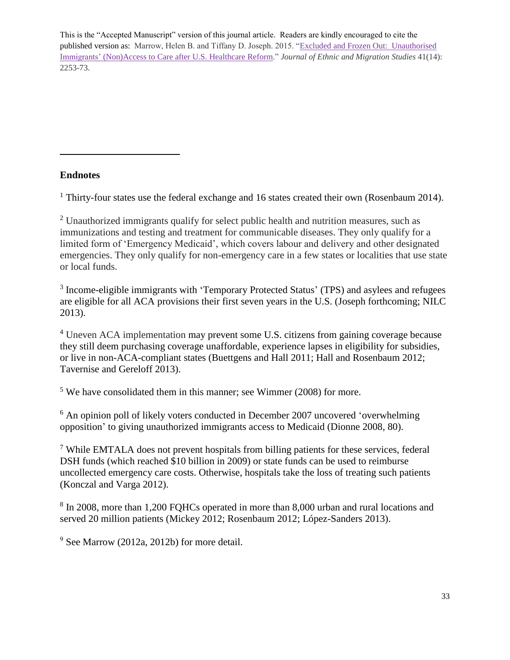#### **Endnotes**

 $\overline{a}$ 

<sup>1</sup> Thirty-four states use the federal exchange and 16 states created their own (Rosenbaum 2014).

<sup>2</sup> Unauthorized immigrants qualify for select public health and nutrition measures, such as immunizations and testing and treatment for communicable diseases. They only qualify for a limited form of 'Emergency Medicaid', which covers labour and delivery and other designated emergencies. They only qualify for non-emergency care in a few states or localities that use state or local funds.

<sup>3</sup> Income-eligible immigrants with 'Temporary Protected Status' (TPS) and asylees and refugees are eligible for all ACA provisions their first seven years in the U.S. (Joseph forthcoming; NILC 2013).

<sup>4</sup> Uneven ACA implementation may prevent some U.S. citizens from gaining coverage because they still deem purchasing coverage unaffordable, experience lapses in eligibility for subsidies, or live in non-ACA-compliant states (Buettgens and Hall 2011; Hall and Rosenbaum 2012; Tavernise and Gereloff 2013).

<sup>5</sup> We have consolidated them in this manner; see Wimmer (2008) for more.

 $6$  An opinion poll of likely voters conducted in December 2007 uncovered 'overwhelming opposition' to giving unauthorized immigrants access to Medicaid (Dionne 2008, 80).

<sup>7</sup> While EMTALA does not prevent hospitals from billing patients for these services, federal DSH funds (which reached \$10 billion in 2009) or state funds can be used to reimburse uncollected emergency care costs. Otherwise, hospitals take the loss of treating such patients (Konczal and Varga 2012).

<sup>8</sup> In 2008, more than 1,200 FQHCs operated in more than 8,000 urban and rural locations and served 20 million patients (Mickey 2012; Rosenbaum 2012; López-Sanders 2013).

 $9$  See Marrow (2012a, 2012b) for more detail.